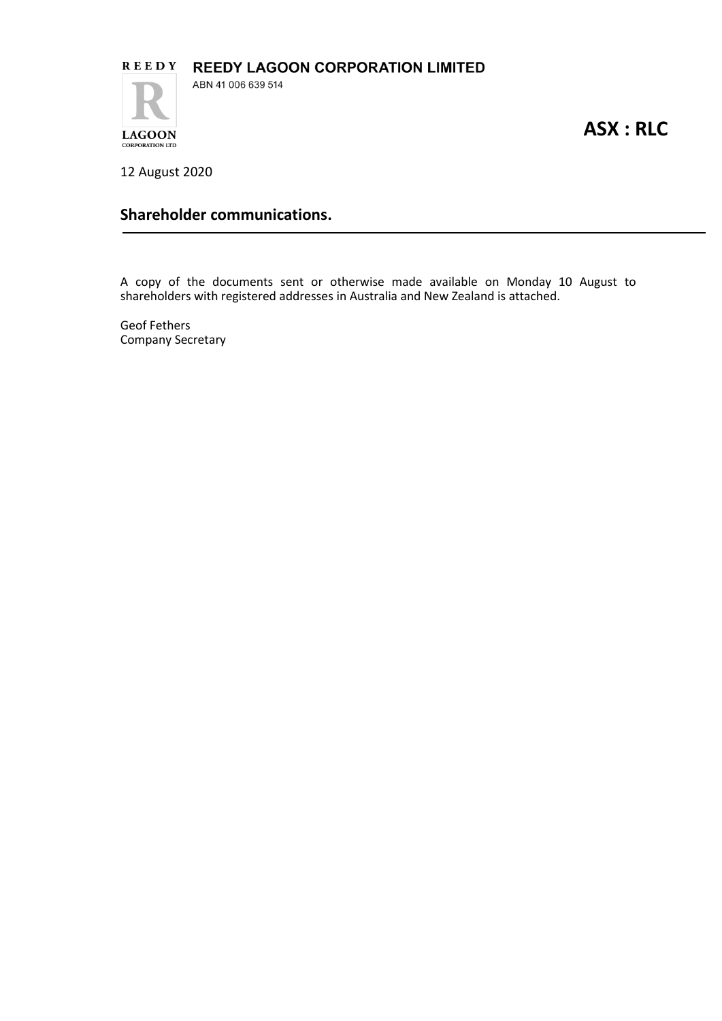

**ASX : RLC**

12 August 2020

**CORPORATION LTD** 

# **Shareholder communications.**

A copy of the documents sent or otherwise made available on Monday 10 August to shareholders with registered addresses in Australia and New Zealand is attached.

Geof Fethers Company Secretary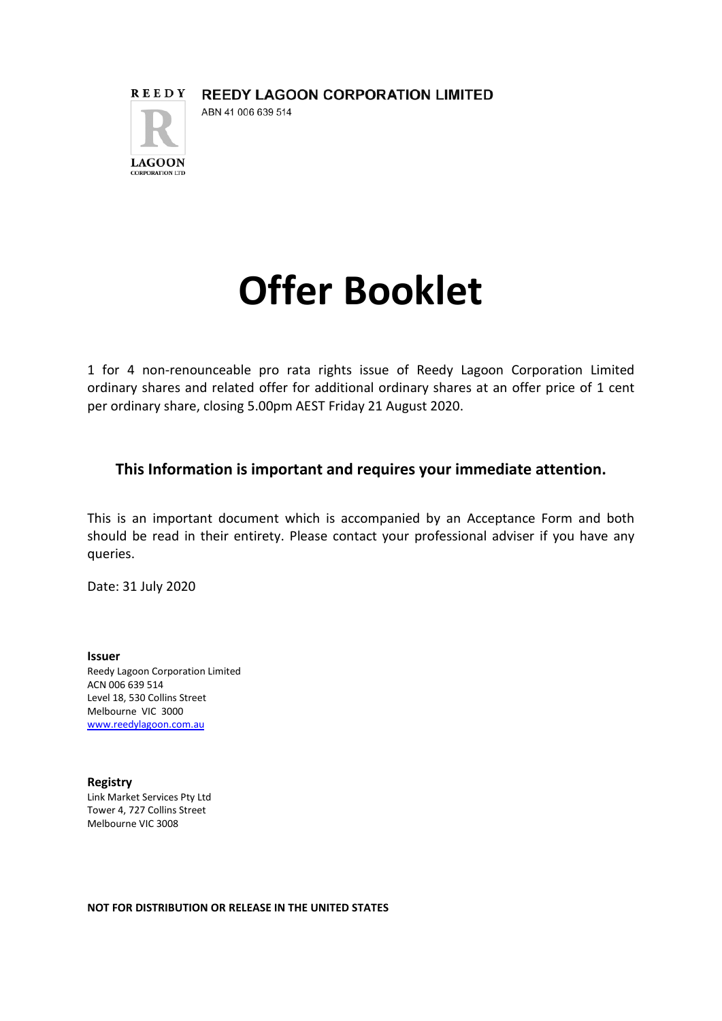

# **Offer Booklet**

1 for 4 non-renounceable pro rata rights issue of Reedy Lagoon Corporation Limited ordinary shares and related offer for additional ordinary shares at an offer price of 1 cent per ordinary share, closing 5.00pm AEST Friday 21 August 2020.

# **This Information is important and requires your immediate attention.**

This is an important document which is accompanied by an Acceptance Form and both should be read in their entirety. Please contact your professional adviser if you have any queries.

Date: 31 July 2020

**Issuer**  Reedy Lagoon Corporation Limited ACN 006 639 514 Level 18, 530 Collins Street Melbourne VIC 3000 www.reedylagoon.com.au

**Registry**  Link Market Services Pty Ltd Tower 4, 727 Collins Street Melbourne VIC 3008

**NOT FOR DISTRIBUTION OR RELEASE IN THE UNITED STATES**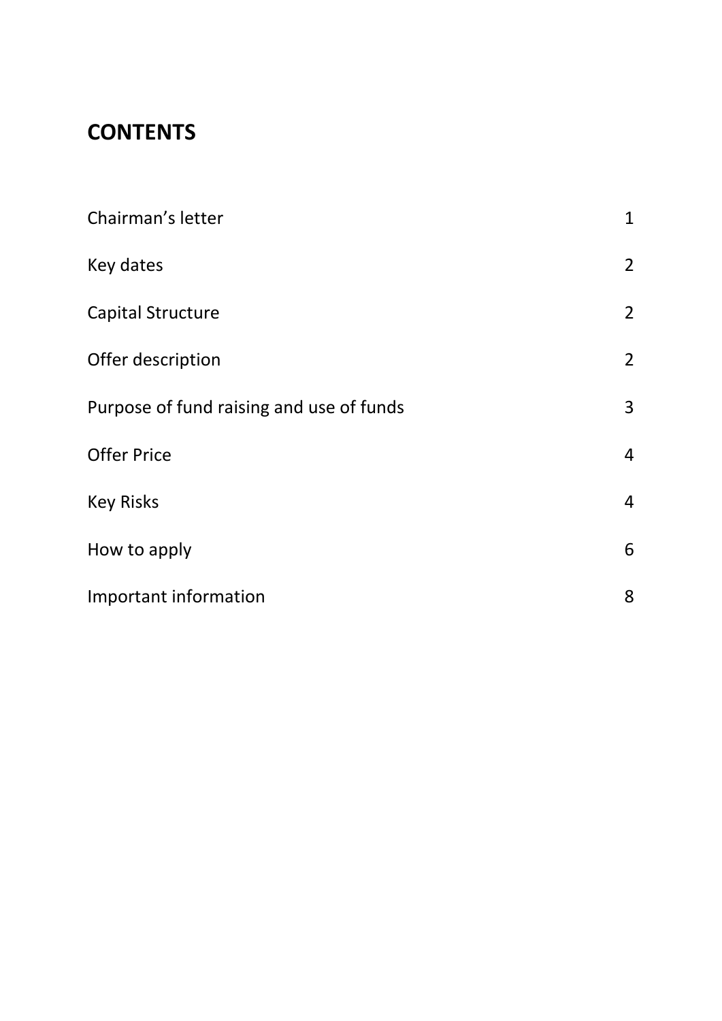# **CONTENTS**

| Chairman's letter                        | $\mathbf{1}$   |
|------------------------------------------|----------------|
| Key dates                                | $\overline{2}$ |
| <b>Capital Structure</b>                 | $\overline{2}$ |
| Offer description                        | $\overline{2}$ |
| Purpose of fund raising and use of funds | 3              |
| <b>Offer Price</b>                       | $\overline{4}$ |
| <b>Key Risks</b>                         | $\overline{4}$ |
| How to apply                             | 6              |
| Important information                    | 8              |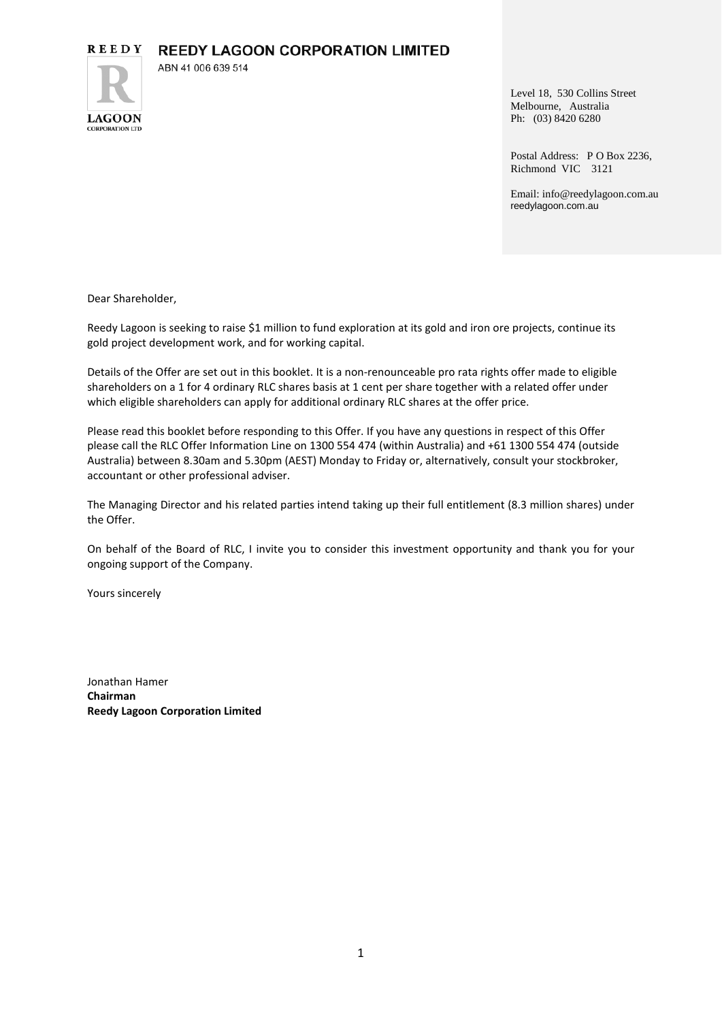**REEDY LAGOON CORPORATION LIMITED** 

ABN 41 006 639 514



Level 18, 530 Collins Street Melbourne, Australia Ph: (03) 8420 6280

Postal Address: P O Box 2236, Richmond VIC 3121

Email: info@reedylagoon.com.au reedylagoon.com.au

Dear Shareholder,

Reedy Lagoon is seeking to raise \$1 million to fund exploration at its gold and iron ore projects, continue its gold project development work, and for working capital.

Details of the Offer are set out in this booklet. It is a non-renounceable pro rata rights offer made to eligible shareholders on a 1 for 4 ordinary RLC shares basis at 1 cent per share together with a related offer under which eligible shareholders can apply for additional ordinary RLC shares at the offer price.

Please read this booklet before responding to this Offer. If you have any questions in respect of this Offer please call the RLC Offer Information Line on 1300 554 474 (within Australia) and +61 1300 554 474 (outside Australia) between 8.30am and 5.30pm (AEST) Monday to Friday or, alternatively, consult your stockbroker, accountant or other professional adviser.

The Managing Director and his related parties intend taking up their full entitlement (8.3 million shares) under the Offer.

On behalf of the Board of RLC, I invite you to consider this investment opportunity and thank you for your ongoing support of the Company.

Yours sincerely

Jonathan Hamer **Chairman Reedy Lagoon Corporation Limited**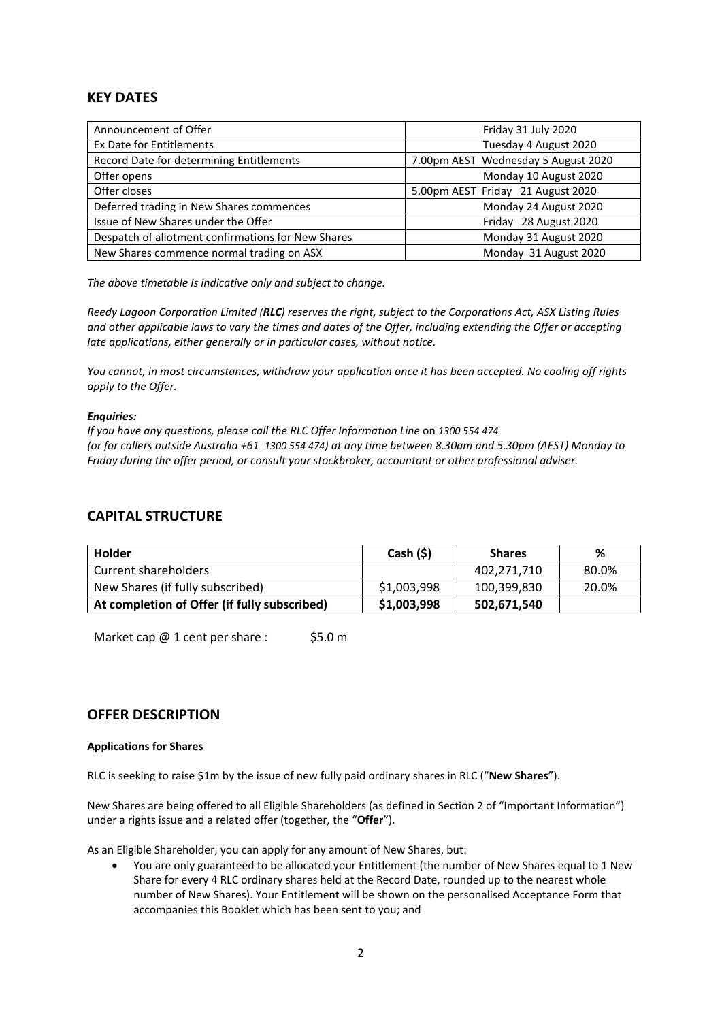# **KEY DATES**

| Announcement of Offer                              | Friday 31 July 2020                 |
|----------------------------------------------------|-------------------------------------|
| Ex Date for Entitlements                           | Tuesday 4 August 2020               |
| Record Date for determining Entitlements           | 7.00pm AEST Wednesday 5 August 2020 |
| Offer opens                                        | Monday 10 August 2020               |
| Offer closes                                       | 5.00pm AEST Friday 21 August 2020   |
| Deferred trading in New Shares commences           | Monday 24 August 2020               |
| Issue of New Shares under the Offer                | Friday 28 August 2020               |
| Despatch of allotment confirmations for New Shares | Monday 31 August 2020               |
| New Shares commence normal trading on ASX          | Monday 31 August 2020               |

*The above timetable is indicative only and subject to change.* 

*Reedy Lagoon Corporation Limited (RLC) reserves the right, subject to the Corporations Act, ASX Listing Rules and other applicable laws to vary the times and dates of the Offer, including extending the Offer or accepting late applications, either generally or in particular cases, without notice.* 

*You cannot, in most circumstances, withdraw your application once it has been accepted. No cooling off rights apply to the Offer.* 

### *Enquiries:*

*If you have any questions, please call the RLC Offer Information Line* on *1300 554 474 (or for callers outside Australia +61 1300 554 474) at any time between 8.30am and 5.30pm (AEST) Monday to Friday during the offer period, or consult your stockbroker, accountant or other professional adviser.*

# **CAPITAL STRUCTURE**

| <b>Holder</b>                                | Cash (§)    | <b>Shares</b> | %     |
|----------------------------------------------|-------------|---------------|-------|
| Current shareholders                         |             | 402,271,710   | 80.0% |
| New Shares (if fully subscribed)             | \$1,003,998 | 100,399,830   | 20.0% |
| At completion of Offer (if fully subscribed) | \$1,003,998 | 502,671,540   |       |

Market cap  $@1$  cent per share : \$5.0 m

# **OFFER DESCRIPTION**

### **Applications for Shares**

RLC is seeking to raise \$1m by the issue of new fully paid ordinary shares in RLC ("**New Shares**").

New Shares are being offered to all Eligible Shareholders (as defined in Section 2 of "Important Information") under a rights issue and a related offer (together, the "**Offer**").

As an Eligible Shareholder, you can apply for any amount of New Shares, but:

• You are only guaranteed to be allocated your Entitlement (the number of New Shares equal to 1 New Share for every 4 RLC ordinary shares held at the Record Date, rounded up to the nearest whole number of New Shares). Your Entitlement will be shown on the personalised Acceptance Form that accompanies this Booklet which has been sent to you; and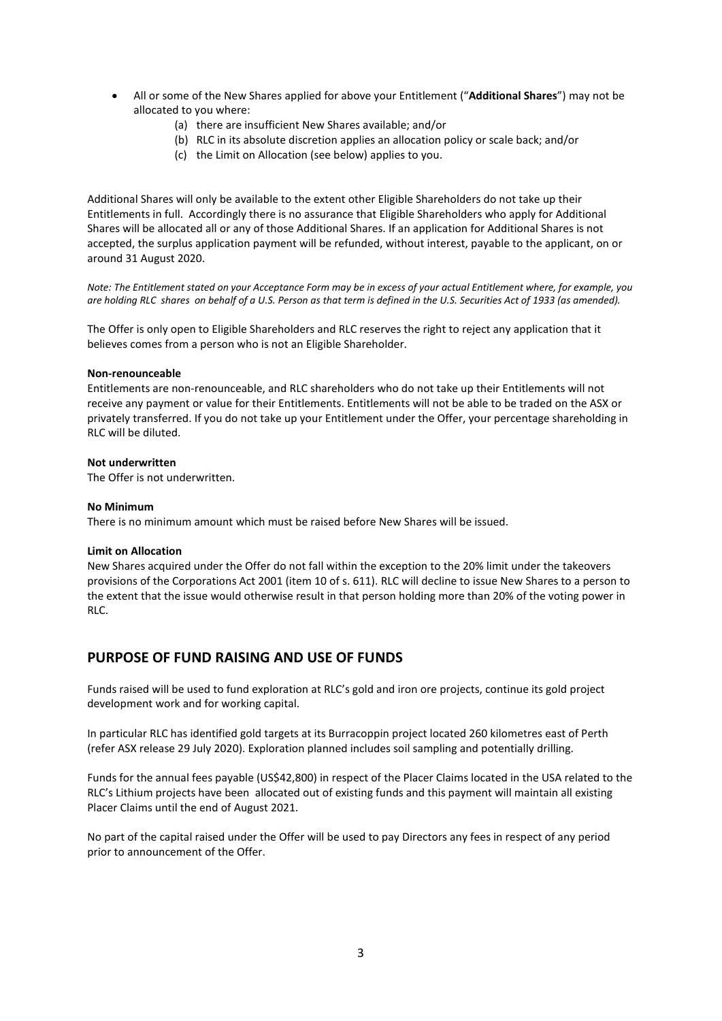- All or some of the New Shares applied for above your Entitlement ("**Additional Shares**") may not be allocated to you where:
	- (a) there are insufficient New Shares available; and/or
	- (b) RLC in its absolute discretion applies an allocation policy or scale back; and/or
	- (c) the Limit on Allocation (see below) applies to you.

Additional Shares will only be available to the extent other Eligible Shareholders do not take up their Entitlements in full. Accordingly there is no assurance that Eligible Shareholders who apply for Additional Shares will be allocated all or any of those Additional Shares. If an application for Additional Shares is not accepted, the surplus application payment will be refunded, without interest, payable to the applicant, on or around 31 August 2020.

*Note: The Entitlement stated on your Acceptance Form may be in excess of your actual Entitlement where, for example, you are holding RLC shares on behalf of a U.S. Person as that term is defined in the U.S. Securities Act of 1933 (as amended).* 

The Offer is only open to Eligible Shareholders and RLC reserves the right to reject any application that it believes comes from a person who is not an Eligible Shareholder.

#### **Non-renounceable**

Entitlements are non-renounceable, and RLC shareholders who do not take up their Entitlements will not receive any payment or value for their Entitlements. Entitlements will not be able to be traded on the ASX or privately transferred. If you do not take up your Entitlement under the Offer, your percentage shareholding in RLC will be diluted.

#### **Not underwritten**

The Offer is not underwritten.

#### **No Minimum**

There is no minimum amount which must be raised before New Shares will be issued.

### **Limit on Allocation**

New Shares acquired under the Offer do not fall within the exception to the 20% limit under the takeovers provisions of the Corporations Act 2001 (item 10 of s. 611). RLC will decline to issue New Shares to a person to the extent that the issue would otherwise result in that person holding more than 20% of the voting power in RLC.

# **PURPOSE OF FUND RAISING AND USE OF FUNDS**

Funds raised will be used to fund exploration at RLC's gold and iron ore projects, continue its gold project development work and for working capital.

In particular RLC has identified gold targets at its Burracoppin project located 260 kilometres east of Perth (refer ASX release 29 July 2020). Exploration planned includes soil sampling and potentially drilling.

Funds for the annual fees payable (US\$42,800) in respect of the Placer Claims located in the USA related to the RLC's Lithium projects have been allocated out of existing funds and this payment will maintain all existing Placer Claims until the end of August 2021.

No part of the capital raised under the Offer will be used to pay Directors any fees in respect of any period prior to announcement of the Offer.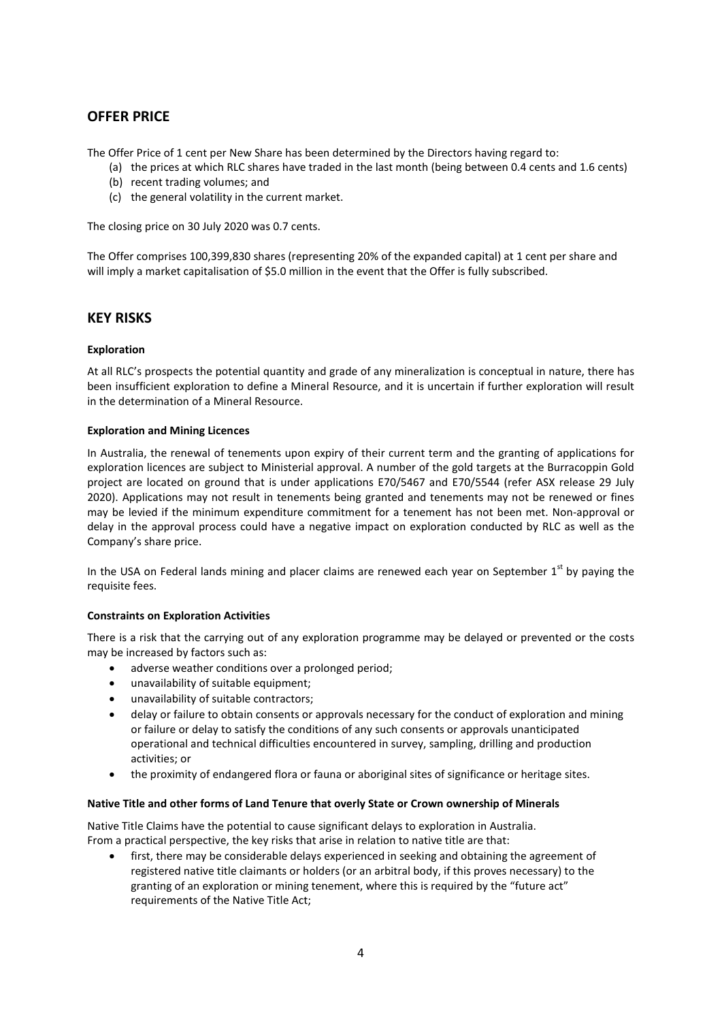# **OFFER PRICE**

The Offer Price of 1 cent per New Share has been determined by the Directors having regard to:

- (a) the prices at which RLC shares have traded in the last month (being between 0.4 cents and 1.6 cents)
- (b) recent trading volumes; and
- (c) the general volatility in the current market.

The closing price on 30 July 2020 was 0.7 cents.

The Offer comprises 100,399,830 shares (representing 20% of the expanded capital) at 1 cent per share and will imply a market capitalisation of \$5.0 million in the event that the Offer is fully subscribed.

# **KEY RISKS**

# **Exploration**

At all RLC's prospects the potential quantity and grade of any mineralization is conceptual in nature, there has been insufficient exploration to define a Mineral Resource, and it is uncertain if further exploration will result in the determination of a Mineral Resource.

### **Exploration and Mining Licences**

In Australia, the renewal of tenements upon expiry of their current term and the granting of applications for exploration licences are subject to Ministerial approval. A number of the gold targets at the Burracoppin Gold project are located on ground that is under applications E70/5467 and E70/5544 (refer ASX release 29 July 2020). Applications may not result in tenements being granted and tenements may not be renewed or fines may be levied if the minimum expenditure commitment for a tenement has not been met. Non-approval or delay in the approval process could have a negative impact on exploration conducted by RLC as well as the Company's share price.

In the USA on Federal lands mining and placer claims are renewed each year on September  $1<sup>st</sup>$  by paying the requisite fees.

### **Constraints on Exploration Activities**

There is a risk that the carrying out of any exploration programme may be delayed or prevented or the costs may be increased by factors such as:

- adverse weather conditions over a prolonged period;
- unavailability of suitable equipment;
- unavailability of suitable contractors;
- delay or failure to obtain consents or approvals necessary for the conduct of exploration and mining or failure or delay to satisfy the conditions of any such consents or approvals unanticipated operational and technical difficulties encountered in survey, sampling, drilling and production activities; or
- the proximity of endangered flora or fauna or aboriginal sites of significance or heritage sites.

### **Native Title and other forms of Land Tenure that overly State or Crown ownership of Minerals**

Native Title Claims have the potential to cause significant delays to exploration in Australia. From a practical perspective, the key risks that arise in relation to native title are that:

first, there may be considerable delays experienced in seeking and obtaining the agreement of registered native title claimants or holders (or an arbitral body, if this proves necessary) to the granting of an exploration or mining tenement, where this is required by the "future act" requirements of the Native Title Act;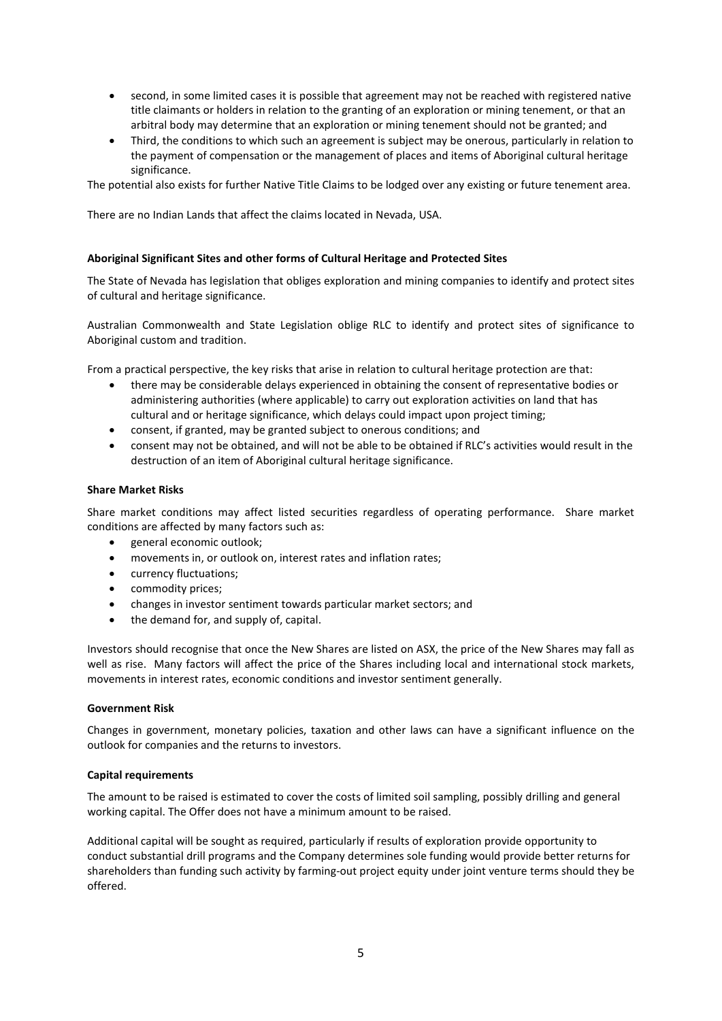- second, in some limited cases it is possible that agreement may not be reached with registered native title claimants or holders in relation to the granting of an exploration or mining tenement, or that an arbitral body may determine that an exploration or mining tenement should not be granted; and
- Third, the conditions to which such an agreement is subject may be onerous, particularly in relation to the payment of compensation or the management of places and items of Aboriginal cultural heritage significance.

The potential also exists for further Native Title Claims to be lodged over any existing or future tenement area.

There are no Indian Lands that affect the claims located in Nevada, USA.

### **Aboriginal Significant Sites and other forms of Cultural Heritage and Protected Sites**

The State of Nevada has legislation that obliges exploration and mining companies to identify and protect sites of cultural and heritage significance.

Australian Commonwealth and State Legislation oblige RLC to identify and protect sites of significance to Aboriginal custom and tradition.

From a practical perspective, the key risks that arise in relation to cultural heritage protection are that:

- there may be considerable delays experienced in obtaining the consent of representative bodies or administering authorities (where applicable) to carry out exploration activities on land that has cultural and or heritage significance, which delays could impact upon project timing;
- consent, if granted, may be granted subject to onerous conditions; and
- consent may not be obtained, and will not be able to be obtained if RLC's activities would result in the destruction of an item of Aboriginal cultural heritage significance.

#### **Share Market Risks**

Share market conditions may affect listed securities regardless of operating performance. Share market conditions are affected by many factors such as:

- general economic outlook;
- movements in, or outlook on, interest rates and inflation rates;
- currency fluctuations;
- commodity prices;
- changes in investor sentiment towards particular market sectors; and
- the demand for, and supply of, capital.

Investors should recognise that once the New Shares are listed on ASX, the price of the New Shares may fall as well as rise. Many factors will affect the price of the Shares including local and international stock markets, movements in interest rates, economic conditions and investor sentiment generally.

#### **Government Risk**

Changes in government, monetary policies, taxation and other laws can have a significant influence on the outlook for companies and the returns to investors.

#### **Capital requirements**

The amount to be raised is estimated to cover the costs of limited soil sampling, possibly drilling and general working capital. The Offer does not have a minimum amount to be raised.

Additional capital will be sought as required, particularly if results of exploration provide opportunity to conduct substantial drill programs and the Company determines sole funding would provide better returns for shareholders than funding such activity by farming-out project equity under joint venture terms should they be offered.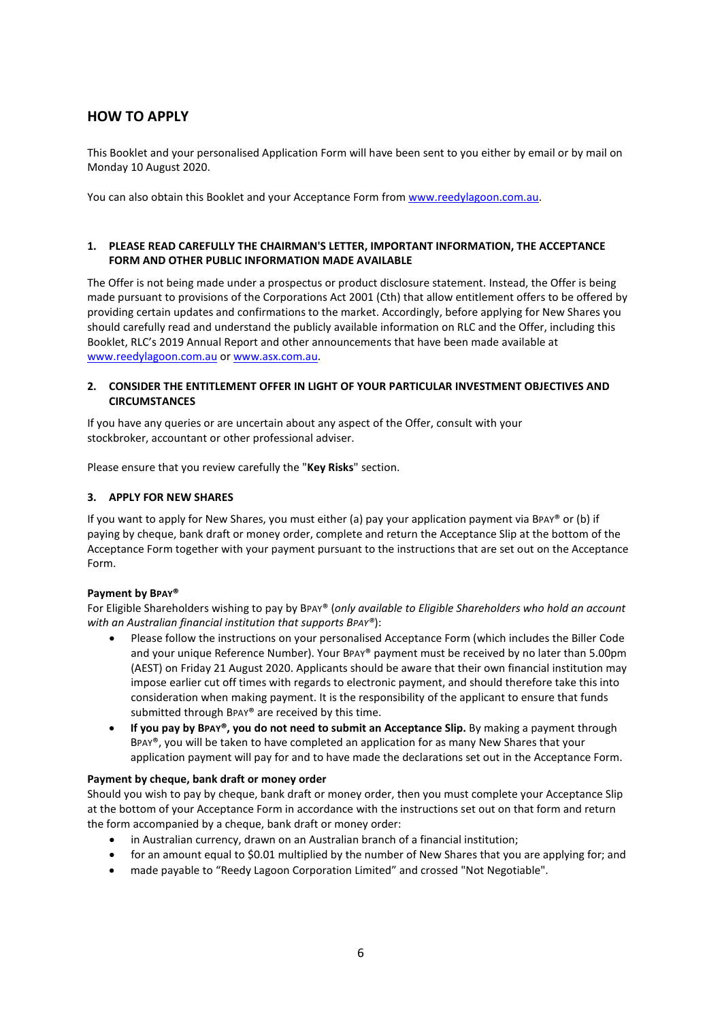# **HOW TO APPLY**

This Booklet and your personalised Application Form will have been sent to you either by email or by mail on Monday 10 August 2020.

You can also obtain this Booklet and your Acceptance Form from www.reedylagoon.com.au.

### **1. PLEASE READ CAREFULLY THE CHAIRMAN'S LETTER, IMPORTANT INFORMATION, THE ACCEPTANCE FORM AND OTHER PUBLIC INFORMATION MADE AVAILABLE**

The Offer is not being made under a prospectus or product disclosure statement. Instead, the Offer is being made pursuant to provisions of the Corporations Act 2001 (Cth) that allow entitlement offers to be offered by providing certain updates and confirmations to the market. Accordingly, before applying for New Shares you should carefully read and understand the publicly available information on RLC and the Offer, including this Booklet, RLC's 2019 Annual Report and other announcements that have been made available at www.reedylagoon.com.au or www.asx.com.au.

# **2. CONSIDER THE ENTITLEMENT OFFER IN LIGHT OF YOUR PARTICULAR INVESTMENT OBJECTIVES AND CIRCUMSTANCES**

If you have any queries or are uncertain about any aspect of the Offer, consult with your stockbroker, accountant or other professional adviser.

Please ensure that you review carefully the "**Key Risks**" section.

### **3. APPLY FOR NEW SHARES**

If you want to apply for New Shares, you must either (a) pay your application payment via BPAY® or (b) if paying by cheque, bank draft or money order, complete and return the Acceptance Slip at the bottom of the Acceptance Form together with your payment pursuant to the instructions that are set out on the Acceptance Form.

#### **Payment by BPAY®**

For Eligible Shareholders wishing to pay by BPAY® (*only available to Eligible Shareholders who hold an account with an Australian financial institution that supports BPAY®*):

- Please follow the instructions on your personalised Acceptance Form (which includes the Biller Code and your unique Reference Number). Your BPAY® payment must be received by no later than 5.00pm (AEST) on Friday 21 August 2020. Applicants should be aware that their own financial institution may impose earlier cut off times with regards to electronic payment, and should therefore take this into consideration when making payment. It is the responsibility of the applicant to ensure that funds submitted through BPAY® are received by this time.
- **If you pay by BPAY®, you do not need to submit an Acceptance Slip.** By making a payment through BPAY®, you will be taken to have completed an application for as many New Shares that your application payment will pay for and to have made the declarations set out in the Acceptance Form.

### **Payment by cheque, bank draft or money order**

Should you wish to pay by cheque, bank draft or money order, then you must complete your Acceptance Slip at the bottom of your Acceptance Form in accordance with the instructions set out on that form and return the form accompanied by a cheque, bank draft or money order:

- in Australian currency, drawn on an Australian branch of a financial institution;
- for an amount equal to \$0.01 multiplied by the number of New Shares that you are applying for; and
- made payable to "Reedy Lagoon Corporation Limited" and crossed "Not Negotiable".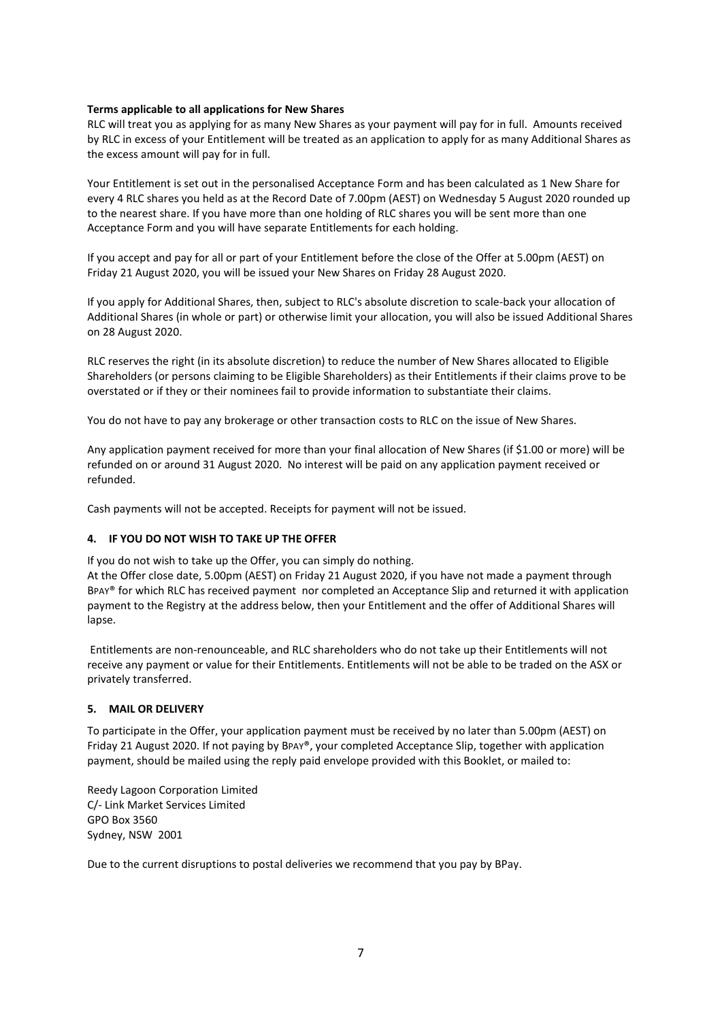### **Terms applicable to all applications for New Shares**

RLC will treat you as applying for as many New Shares as your payment will pay for in full. Amounts received by RLC in excess of your Entitlement will be treated as an application to apply for as many Additional Shares as the excess amount will pay for in full.

Your Entitlement is set out in the personalised Acceptance Form and has been calculated as 1 New Share for every 4 RLC shares you held as at the Record Date of 7.00pm (AEST) on Wednesday 5 August 2020 rounded up to the nearest share. If you have more than one holding of RLC shares you will be sent more than one Acceptance Form and you will have separate Entitlements for each holding.

If you accept and pay for all or part of your Entitlement before the close of the Offer at 5.00pm (AEST) on Friday 21 August 2020, you will be issued your New Shares on Friday 28 August 2020.

If you apply for Additional Shares, then, subject to RLC's absolute discretion to scale-back your allocation of Additional Shares (in whole or part) or otherwise limit your allocation, you will also be issued Additional Shares on 28 August 2020.

RLC reserves the right (in its absolute discretion) to reduce the number of New Shares allocated to Eligible Shareholders (or persons claiming to be Eligible Shareholders) as their Entitlements if their claims prove to be overstated or if they or their nominees fail to provide information to substantiate their claims.

You do not have to pay any brokerage or other transaction costs to RLC on the issue of New Shares.

Any application payment received for more than your final allocation of New Shares (if \$1.00 or more) will be refunded on or around 31 August 2020. No interest will be paid on any application payment received or refunded.

Cash payments will not be accepted. Receipts for payment will not be issued.

### **4. IF YOU DO NOT WISH TO TAKE UP THE OFFER**

If you do not wish to take up the Offer, you can simply do nothing.

At the Offer close date, 5.00pm (AEST) on Friday 21 August 2020, if you have not made a payment through BPAY® for which RLC has received payment nor completed an Acceptance Slip and returned it with application payment to the Registry at the address below, then your Entitlement and the offer of Additional Shares will lapse.

 Entitlements are non-renounceable, and RLC shareholders who do not take up their Entitlements will not receive any payment or value for their Entitlements. Entitlements will not be able to be traded on the ASX or privately transferred.

### **5. MAIL OR DELIVERY**

To participate in the Offer, your application payment must be received by no later than 5.00pm (AEST) on Friday 21 August 2020. If not paying by BPAY®, your completed Acceptance Slip, together with application payment, should be mailed using the reply paid envelope provided with this Booklet, or mailed to:

Reedy Lagoon Corporation Limited C/- Link Market Services Limited GPO Box 3560 Sydney, NSW 2001

Due to the current disruptions to postal deliveries we recommend that you pay by BPay.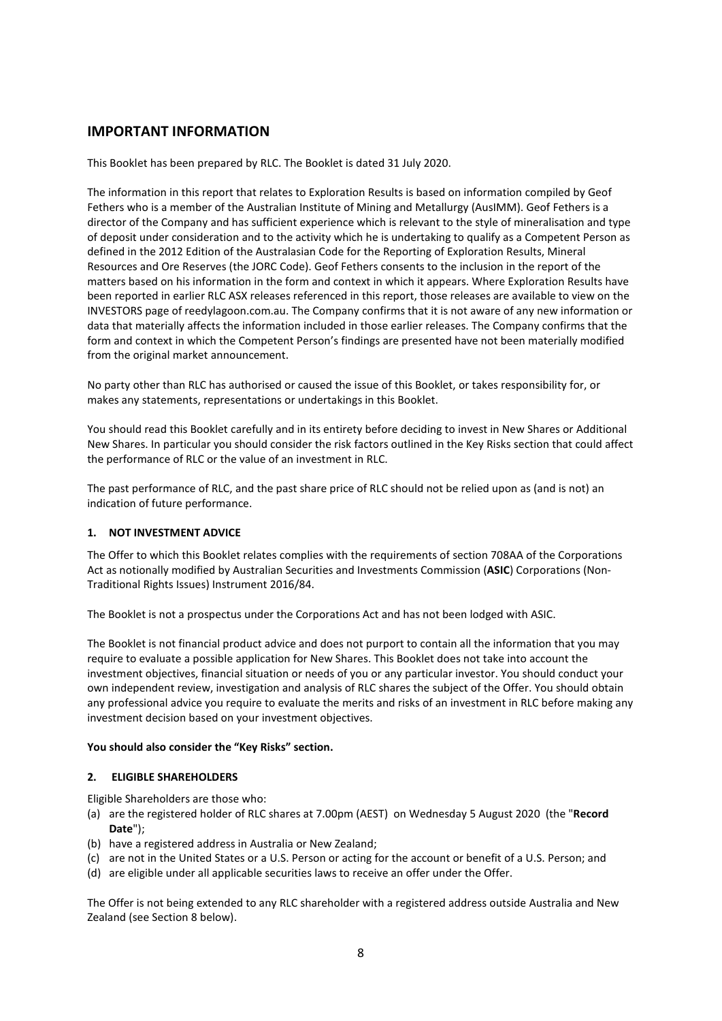# **IMPORTANT INFORMATION**

This Booklet has been prepared by RLC. The Booklet is dated 31 July 2020.

The information in this report that relates to Exploration Results is based on information compiled by Geof Fethers who is a member of the Australian Institute of Mining and Metallurgy (AusIMM). Geof Fethers is a director of the Company and has sufficient experience which is relevant to the style of mineralisation and type of deposit under consideration and to the activity which he is undertaking to qualify as a Competent Person as defined in the 2012 Edition of the Australasian Code for the Reporting of Exploration Results, Mineral Resources and Ore Reserves (the JORC Code). Geof Fethers consents to the inclusion in the report of the matters based on his information in the form and context in which it appears. Where Exploration Results have been reported in earlier RLC ASX releases referenced in this report, those releases are available to view on the INVESTORS page of reedylagoon.com.au. The Company confirms that it is not aware of any new information or data that materially affects the information included in those earlier releases. The Company confirms that the form and context in which the Competent Person's findings are presented have not been materially modified from the original market announcement.

No party other than RLC has authorised or caused the issue of this Booklet, or takes responsibility for, or makes any statements, representations or undertakings in this Booklet.

You should read this Booklet carefully and in its entirety before deciding to invest in New Shares or Additional New Shares. In particular you should consider the risk factors outlined in the Key Risks section that could affect the performance of RLC or the value of an investment in RLC.

The past performance of RLC, and the past share price of RLC should not be relied upon as (and is not) an indication of future performance.

### **1. NOT INVESTMENT ADVICE**

The Offer to which this Booklet relates complies with the requirements of section 708AA of the Corporations Act as notionally modified by Australian Securities and Investments Commission (**ASIC**) Corporations (Non-Traditional Rights Issues) Instrument 2016/84.

The Booklet is not a prospectus under the Corporations Act and has not been lodged with ASIC.

The Booklet is not financial product advice and does not purport to contain all the information that you may require to evaluate a possible application for New Shares. This Booklet does not take into account the investment objectives, financial situation or needs of you or any particular investor. You should conduct your own independent review, investigation and analysis of RLC shares the subject of the Offer. You should obtain any professional advice you require to evaluate the merits and risks of an investment in RLC before making any investment decision based on your investment objectives.

### **You should also consider the "Key Risks" section.**

### **2. ELIGIBLE SHAREHOLDERS**

Eligible Shareholders are those who:

- (a) are the registered holder of RLC shares at 7.00pm (AEST) on Wednesday 5 August 2020 (the "**Record Date**");
- (b) have a registered address in Australia or New Zealand;
- (c) are not in the United States or a U.S. Person or acting for the account or benefit of a U.S. Person; and
- (d) are eligible under all applicable securities laws to receive an offer under the Offer.

The Offer is not being extended to any RLC shareholder with a registered address outside Australia and New Zealand (see Section 8 below).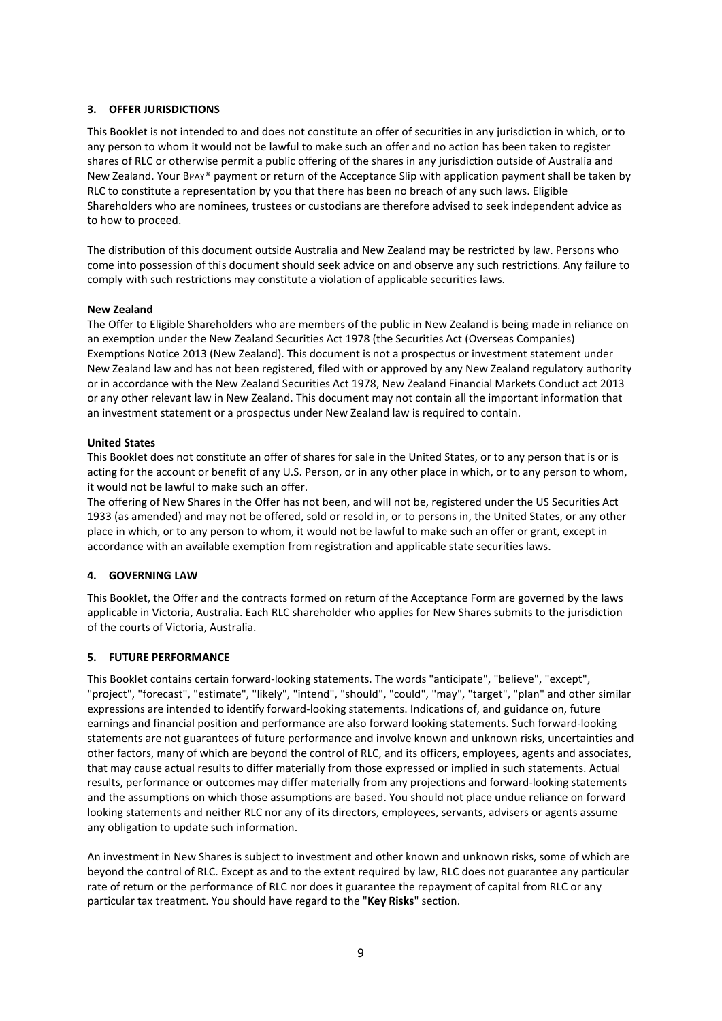# **3. OFFER JURISDICTIONS**

This Booklet is not intended to and does not constitute an offer of securities in any jurisdiction in which, or to any person to whom it would not be lawful to make such an offer and no action has been taken to register shares of RLC or otherwise permit a public offering of the shares in any jurisdiction outside of Australia and New Zealand. Your BPAY® payment or return of the Acceptance Slip with application payment shall be taken by RLC to constitute a representation by you that there has been no breach of any such laws. Eligible Shareholders who are nominees, trustees or custodians are therefore advised to seek independent advice as to how to proceed.

The distribution of this document outside Australia and New Zealand may be restricted by law. Persons who come into possession of this document should seek advice on and observe any such restrictions. Any failure to comply with such restrictions may constitute a violation of applicable securities laws.

### **New Zealand**

The Offer to Eligible Shareholders who are members of the public in New Zealand is being made in reliance on an exemption under the New Zealand Securities Act 1978 (the Securities Act (Overseas Companies) Exemptions Notice 2013 (New Zealand). This document is not a prospectus or investment statement under New Zealand law and has not been registered, filed with or approved by any New Zealand regulatory authority or in accordance with the New Zealand Securities Act 1978, New Zealand Financial Markets Conduct act 2013 or any other relevant law in New Zealand. This document may not contain all the important information that an investment statement or a prospectus under New Zealand law is required to contain.

#### **United States**

This Booklet does not constitute an offer of shares for sale in the United States, or to any person that is or is acting for the account or benefit of any U.S. Person, or in any other place in which, or to any person to whom, it would not be lawful to make such an offer.

The offering of New Shares in the Offer has not been, and will not be, registered under the US Securities Act 1933 (as amended) and may not be offered, sold or resold in, or to persons in, the United States, or any other place in which, or to any person to whom, it would not be lawful to make such an offer or grant, except in accordance with an available exemption from registration and applicable state securities laws.

### **4. GOVERNING LAW**

This Booklet, the Offer and the contracts formed on return of the Acceptance Form are governed by the laws applicable in Victoria, Australia. Each RLC shareholder who applies for New Shares submits to the jurisdiction of the courts of Victoria, Australia.

### **5. FUTURE PERFORMANCE**

This Booklet contains certain forward-looking statements. The words "anticipate", "believe", "except", "project", "forecast", "estimate", "likely", "intend", "should", "could", "may", "target", "plan" and other similar expressions are intended to identify forward-looking statements. Indications of, and guidance on, future earnings and financial position and performance are also forward looking statements. Such forward-looking statements are not guarantees of future performance and involve known and unknown risks, uncertainties and other factors, many of which are beyond the control of RLC, and its officers, employees, agents and associates, that may cause actual results to differ materially from those expressed or implied in such statements. Actual results, performance or outcomes may differ materially from any projections and forward-looking statements and the assumptions on which those assumptions are based. You should not place undue reliance on forward looking statements and neither RLC nor any of its directors, employees, servants, advisers or agents assume any obligation to update such information.

An investment in New Shares is subject to investment and other known and unknown risks, some of which are beyond the control of RLC. Except as and to the extent required by law, RLC does not guarantee any particular rate of return or the performance of RLC nor does it guarantee the repayment of capital from RLC or any particular tax treatment. You should have regard to the "**Key Risks**" section.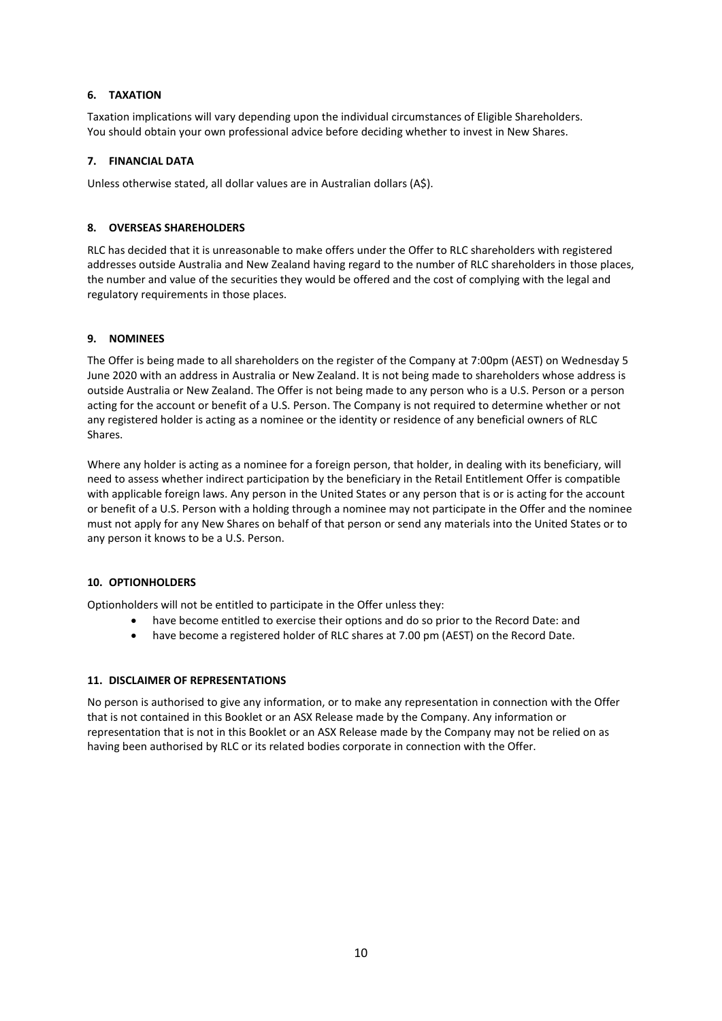# **6. TAXATION**

Taxation implications will vary depending upon the individual circumstances of Eligible Shareholders. You should obtain your own professional advice before deciding whether to invest in New Shares.

# **7. FINANCIAL DATA**

Unless otherwise stated, all dollar values are in Australian dollars (A\$).

# **8. OVERSEAS SHAREHOLDERS**

RLC has decided that it is unreasonable to make offers under the Offer to RLC shareholders with registered addresses outside Australia and New Zealand having regard to the number of RLC shareholders in those places, the number and value of the securities they would be offered and the cost of complying with the legal and regulatory requirements in those places.

# **9. NOMINEES**

The Offer is being made to all shareholders on the register of the Company at 7:00pm (AEST) on Wednesday 5 June 2020 with an address in Australia or New Zealand. It is not being made to shareholders whose address is outside Australia or New Zealand. The Offer is not being made to any person who is a U.S. Person or a person acting for the account or benefit of a U.S. Person. The Company is not required to determine whether or not any registered holder is acting as a nominee or the identity or residence of any beneficial owners of RLC Shares.

Where any holder is acting as a nominee for a foreign person, that holder, in dealing with its beneficiary, will need to assess whether indirect participation by the beneficiary in the Retail Entitlement Offer is compatible with applicable foreign laws. Any person in the United States or any person that is or is acting for the account or benefit of a U.S. Person with a holding through a nominee may not participate in the Offer and the nominee must not apply for any New Shares on behalf of that person or send any materials into the United States or to any person it knows to be a U.S. Person.

# **10. OPTIONHOLDERS**

Optionholders will not be entitled to participate in the Offer unless they:

- have become entitled to exercise their options and do so prior to the Record Date: and
- have become a registered holder of RLC shares at 7.00 pm (AEST) on the Record Date.

# **11. DISCLAIMER OF REPRESENTATIONS**

No person is authorised to give any information, or to make any representation in connection with the Offer that is not contained in this Booklet or an ASX Release made by the Company. Any information or representation that is not in this Booklet or an ASX Release made by the Company may not be relied on as having been authorised by RLC or its related bodies corporate in connection with the Offer.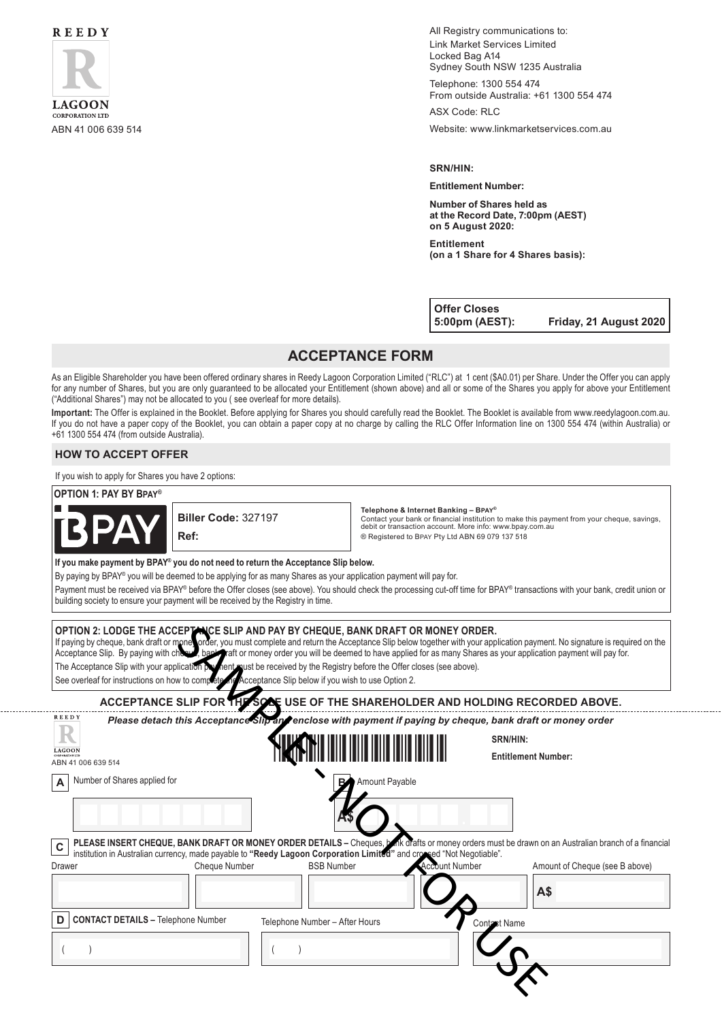

All Registry communications to: Link Market Services Limited Locked Bag A14 Sydney South NSW 1235 Australia

Telephone: 1300 554 474 From outside Australia: +61 1300 554 474

ASX Code: RLC

ABN 41 006 639 514 Website: www.linkmarketservices.com.au

#### **SRN/HIN:**

#### **Entitlement Number:**

**Number of Shares held as at the Record Date, 7:00pm (AEST) on 5 August 2020:**

**Entitlement (on a 1 Share for 4 Shares basis):**

**Offer Closes**

**5:00pm (AEST): Friday, 21 August 2020**

. . . . . . . . . . . . . . .

# **ACCEPTANCE FORM**

As an Eligible Shareholder you have been offered ordinary shares in Reedy Lagoon Corporation Limited ("RLC") at 1 cent (\$A0.01) per Share. Under the Offer you can apply for any number of Shares, but you are only guaranteed to be allocated your Entitlement (shown above) and all or some of the Shares you apply for above your Entitlement ("Additional Shares") may not be allocated to you ( see overleaf for more details).

**Important:** The Offer is explained in the Booklet. Before applying for Shares you should carefully read the Booklet. The Booklet is available from www.reedylagoon.com.au. If you do not have a paper copy of the Booklet, you can obtain a paper copy at no charge by calling the RLC Offer Information line on 1300 554 474 (within Australia) or +61 1300 554 474 (from outside Australia).

### **HOW TO ACCEPT OFFER**

If you wish to apply for Shares you have 2 options:

#### **OPTION 1: PAY BY Bpay®**



. . . . . . . . . . . . . . .

**Biller Code:** 327197 **Ref:**

**Telephone & Internet Banking – Bpay®**

Contact your bank or financial institution to make this payment from your cheque, savings, debit or transaction account. More info: www.bpay.com.au ® Registered to Bpay Pty Ltd ABN 69 079 137 518

**If you make payment by BPAY® you do not need to return the Acceptance Slip below.**

By paying by BPAY® you will be deemed to be applying for as many Shares as your application payment will pay for.

Payment must be received via BPAY® before the Offer closes (see above). You should check the processing cut-off time for BPAY® transactions with your bank, credit union or building society to ensure your payment will be received by the Registry in time.

| OPTION 2: LODGE THE ACCEPTANCE SLIP AND PAY BY CHEQUE, BANK DRAFT OR MONEY ORDER.<br>If paying by cheque, bank draft or mone, order, you must complete and return the Acceptance Slip below together with your application payment. No signature is required on the<br>Acceptance Slip. By paying with chose bank maft or money order you will be deemed to have applied for as many Shares as your application payment will pay for.<br>The Acceptance Slip with your application provient pust be received by the Registry before the Offer closes (see above).<br>See overleaf for instructions on how to complete in Acceptance Slip below if you wish to use Option 2. |                                                                                                                                                                                                                                                                             |                       |                                |  |
|-----------------------------------------------------------------------------------------------------------------------------------------------------------------------------------------------------------------------------------------------------------------------------------------------------------------------------------------------------------------------------------------------------------------------------------------------------------------------------------------------------------------------------------------------------------------------------------------------------------------------------------------------------------------------------|-----------------------------------------------------------------------------------------------------------------------------------------------------------------------------------------------------------------------------------------------------------------------------|-----------------------|--------------------------------|--|
|                                                                                                                                                                                                                                                                                                                                                                                                                                                                                                                                                                                                                                                                             | ACCEPTANCE SLIP FOR THE SOLE USE OF THE SHAREHOLDER AND HOLDING RECORDED ABOVE.                                                                                                                                                                                             |                       |                                |  |
| <b>REEDY</b><br>Please detach this Acceptance Slip and enclose with payment if paying by cheque, bank draft or money order                                                                                                                                                                                                                                                                                                                                                                                                                                                                                                                                                  |                                                                                                                                                                                                                                                                             |                       |                                |  |
|                                                                                                                                                                                                                                                                                                                                                                                                                                                                                                                                                                                                                                                                             | <u> IIII IIIII IIIII IIIII IIII</u>                                                                                                                                                                                                                                         | SRN/HIN:              |                                |  |
| <b>LAGOO!</b><br>ABN 41 006 639 514                                                                                                                                                                                                                                                                                                                                                                                                                                                                                                                                                                                                                                         |                                                                                                                                                                                                                                                                             |                       | <b>Entitlement Number:</b>     |  |
| Number of Shares applied for<br>A                                                                                                                                                                                                                                                                                                                                                                                                                                                                                                                                                                                                                                           | <b>B</b> <sup>A</sup> Amount Payable                                                                                                                                                                                                                                        |                       |                                |  |
|                                                                                                                                                                                                                                                                                                                                                                                                                                                                                                                                                                                                                                                                             |                                                                                                                                                                                                                                                                             |                       |                                |  |
| $\mathbf c$                                                                                                                                                                                                                                                                                                                                                                                                                                                                                                                                                                                                                                                                 | PLEASE INSERT CHEQUE, BANK DRAFT OR MONEY ORDER DETAILS - Cheques, both diafts or money orders must be drawn on an Australian branch of a financial<br>institution in Australian currency, made payable to "Reedy Lagoon Corporation Limited" and crossed "Not Negotiable". |                       |                                |  |
| Drawer<br><b>Cheque Number</b>                                                                                                                                                                                                                                                                                                                                                                                                                                                                                                                                                                                                                                              | <b>BSB Number</b>                                                                                                                                                                                                                                                           | <b>Account Number</b> | Amount of Cheque (see B above) |  |
|                                                                                                                                                                                                                                                                                                                                                                                                                                                                                                                                                                                                                                                                             |                                                                                                                                                                                                                                                                             |                       | A\$                            |  |
| <b>CONTACT DETAILS - Telephone Number</b><br>D                                                                                                                                                                                                                                                                                                                                                                                                                                                                                                                                                                                                                              | Telephone Number - After Hours                                                                                                                                                                                                                                              | Contast Name          |                                |  |
|                                                                                                                                                                                                                                                                                                                                                                                                                                                                                                                                                                                                                                                                             |                                                                                                                                                                                                                                                                             |                       |                                |  |
|                                                                                                                                                                                                                                                                                                                                                                                                                                                                                                                                                                                                                                                                             |                                                                                                                                                                                                                                                                             |                       |                                |  |